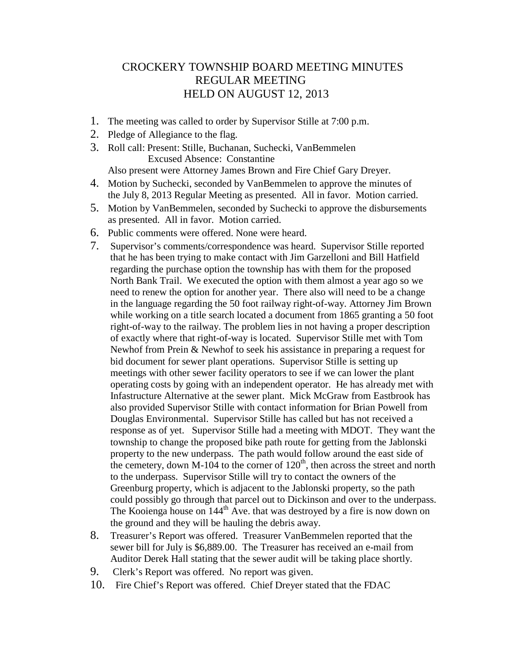## CROCKERY TOWNSHIP BOARD MEETING MINUTES REGULAR MEETING HELD ON AUGUST 12, 2013

- 1. The meeting was called to order by Supervisor Stille at 7:00 p.m.
- 2. Pledge of Allegiance to the flag.
- 3. Roll call: Present: Stille, Buchanan, Suchecki, VanBemmelen Excused Absence: Constantine

Also present were Attorney James Brown and Fire Chief Gary Dreyer.

- 4. Motion by Suchecki, seconded by VanBemmelen to approve the minutes of the July 8, 2013 Regular Meeting as presented. All in favor. Motion carried.
- 5. Motion by VanBemmelen, seconded by Suchecki to approve the disbursements as presented. All in favor. Motion carried.
- 6. Public comments were offered. None were heard.
- 7. Supervisor's comments/correspondence was heard. Supervisor Stille reported that he has been trying to make contact with Jim Garzelloni and Bill Hatfield regarding the purchase option the township has with them for the proposed North Bank Trail. We executed the option with them almost a year ago so we need to renew the option for another year. There also will need to be a change in the language regarding the 50 foot railway right-of-way. Attorney Jim Brown while working on a title search located a document from 1865 granting a 50 foot right-of-way to the railway. The problem lies in not having a proper description of exactly where that right-of-way is located. Supervisor Stille met with Tom Newhof from Prein & Newhof to seek his assistance in preparing a request for bid document for sewer plant operations. Supervisor Stille is setting up meetings with other sewer facility operators to see if we can lower the plant operating costs by going with an independent operator. He has already met with Infastructure Alternative at the sewer plant. Mick McGraw from Eastbrook has also provided Supervisor Stille with contact information for Brian Powell from Douglas Environmental. Supervisor Stille has called but has not received a response as of yet. Supervisor Stille had a meeting with MDOT. They want the township to change the proposed bike path route for getting from the Jablonski property to the new underpass. The path would follow around the east side of the cemetery, down M-104 to the corner of  $120<sup>th</sup>$ , then across the street and north to the underpass. Supervisor Stille will try to contact the owners of the Greenburg property, which is adjacent to the Jablonski property, so the path could possibly go through that parcel out to Dickinson and over to the underpass. The Kooienga house on 144<sup>th</sup> Ave. that was destroyed by a fire is now down on the ground and they will be hauling the debris away.
- 8. Treasurer's Report was offered. Treasurer VanBemmelen reported that the sewer bill for July is \$6,889.00. The Treasurer has received an e-mail from Auditor Derek Hall stating that the sewer audit will be taking place shortly.
- 9. Clerk's Report was offered. No report was given.
- 10. Fire Chief's Report was offered. Chief Dreyer stated that the FDAC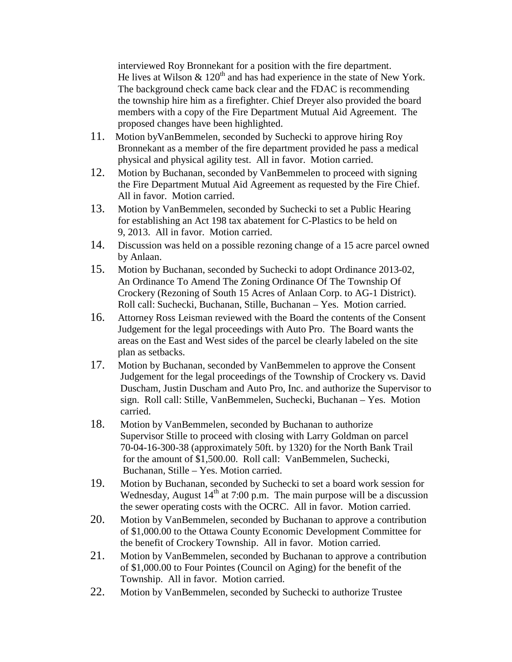interviewed Roy Bronnekant for a position with the fire department. He lives at Wilson  $\&$  120<sup>th</sup> and has had experience in the state of New York. The background check came back clear and the FDAC is recommending the township hire him as a firefighter. Chief Dreyer also provided the board members with a copy of the Fire Department Mutual Aid Agreement. The proposed changes have been highlighted.

- 11. Motion byVanBemmelen, seconded by Suchecki to approve hiring Roy Bronnekant as a member of the fire department provided he pass a medical physical and physical agility test. All in favor. Motion carried.
- 12. Motion by Buchanan, seconded by VanBemmelen to proceed with signing the Fire Department Mutual Aid Agreement as requested by the Fire Chief. All in favor. Motion carried.
- 13. Motion by VanBemmelen, seconded by Suchecki to set a Public Hearing for establishing an Act 198 tax abatement for C-Plastics to be held on 9, 2013. All in favor. Motion carried.
- 14. Discussion was held on a possible rezoning change of a 15 acre parcel owned by Anlaan.
- 15. Motion by Buchanan, seconded by Suchecki to adopt Ordinance 2013-02, An Ordinance To Amend The Zoning Ordinance Of The Township Of Crockery (Rezoning of South 15 Acres of Anlaan Corp. to AG-1 District). Roll call: Suchecki, Buchanan, Stille, Buchanan – Yes. Motion carried.
- 16. Attorney Ross Leisman reviewed with the Board the contents of the Consent Judgement for the legal proceedings with Auto Pro. The Board wants the areas on the East and West sides of the parcel be clearly labeled on the site plan as setbacks.
- 17. Motion by Buchanan, seconded by VanBemmelen to approve the Consent Judgement for the legal proceedings of the Township of Crockery vs. David Duscham, Justin Duscham and Auto Pro, Inc. and authorize the Supervisor to sign. Roll call: Stille, VanBemmelen, Suchecki, Buchanan – Yes. Motion carried.
- 18. Motion by VanBemmelen, seconded by Buchanan to authorize Supervisor Stille to proceed with closing with Larry Goldman on parcel 70-04-16-300-38 (approximately 50ft. by 1320) for the North Bank Trail for the amount of \$1,500.00. Roll call: VanBemmelen, Suchecki, Buchanan, Stille – Yes. Motion carried.
- 19. Motion by Buchanan, seconded by Suchecki to set a board work session for Wednesday, August  $14<sup>th</sup>$  at 7:00 p.m. The main purpose will be a discussion the sewer operating costs with the OCRC. All in favor. Motion carried.
- 20. Motion by VanBemmelen, seconded by Buchanan to approve a contribution of \$1,000.00 to the Ottawa County Economic Development Committee for the benefit of Crockery Township. All in favor. Motion carried.
- 21. Motion by VanBemmelen, seconded by Buchanan to approve a contribution of \$1,000.00 to Four Pointes (Council on Aging) for the benefit of the Township. All in favor. Motion carried.
- 22. Motion by VanBemmelen, seconded by Suchecki to authorize Trustee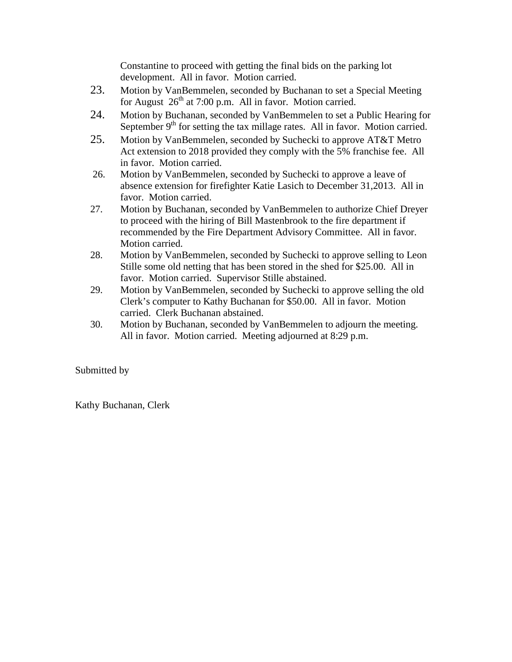Constantine to proceed with getting the final bids on the parking lot development. All in favor. Motion carried.

- 23. Motion by VanBemmelen, seconded by Buchanan to set a Special Meeting for August  $26<sup>th</sup>$  at 7:00 p.m. All in favor. Motion carried.
- 24. Motion by Buchanan, seconded by VanBemmelen to set a Public Hearing for September  $9<sup>th</sup>$  for setting the tax millage rates. All in favor. Motion carried.
- 25. Motion by VanBemmelen, seconded by Suchecki to approve AT&T Metro Act extension to 2018 provided they comply with the 5% franchise fee. All in favor. Motion carried.
- 26. Motion by VanBemmelen, seconded by Suchecki to approve a leave of absence extension for firefighter Katie Lasich to December 31,2013. All in favor. Motion carried.
- 27. Motion by Buchanan, seconded by VanBemmelen to authorize Chief Dreyer to proceed with the hiring of Bill Mastenbrook to the fire department if recommended by the Fire Department Advisory Committee. All in favor. Motion carried.
- 28. Motion by VanBemmelen, seconded by Suchecki to approve selling to Leon Stille some old netting that has been stored in the shed for \$25.00. All in favor. Motion carried. Supervisor Stille abstained.
- 29. Motion by VanBemmelen, seconded by Suchecki to approve selling the old Clerk's computer to Kathy Buchanan for \$50.00. All in favor. Motion carried. Clerk Buchanan abstained.
- 30. Motion by Buchanan, seconded by VanBemmelen to adjourn the meeting. All in favor. Motion carried. Meeting adjourned at 8:29 p.m.

## Submitted by

Kathy Buchanan, Clerk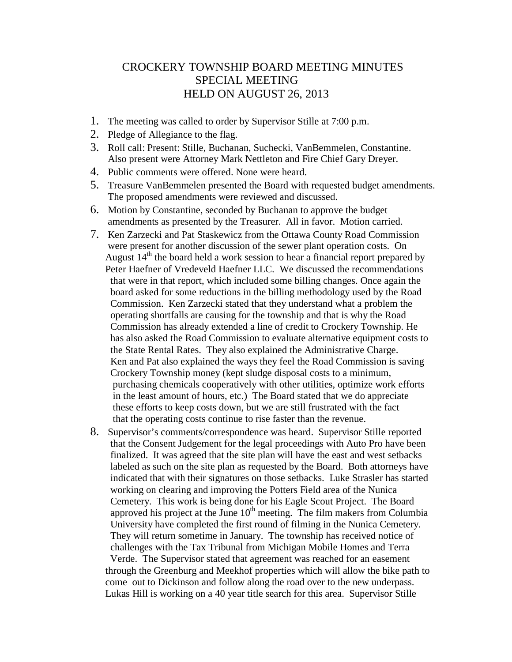## CROCKERY TOWNSHIP BOARD MEETING MINUTES SPECIAL MEETING HELD ON AUGUST 26, 2013

- 1. The meeting was called to order by Supervisor Stille at 7:00 p.m.
- 2. Pledge of Allegiance to the flag.
- 3. Roll call: Present: Stille, Buchanan, Suchecki, VanBemmelen, Constantine. Also present were Attorney Mark Nettleton and Fire Chief Gary Dreyer.
- 4. Public comments were offered. None were heard.
- 5. Treasure VanBemmelen presented the Board with requested budget amendments. The proposed amendments were reviewed and discussed.
- 6. Motion by Constantine, seconded by Buchanan to approve the budget amendments as presented by the Treasurer. All in favor. Motion carried.
- 7. Ken Zarzecki and Pat Staskewicz from the Ottawa County Road Commission were present for another discussion of the sewer plant operation costs. On August  $14<sup>th</sup>$  the board held a work session to hear a financial report prepared by Peter Haefner of Vredeveld Haefner LLC. We discussed the recommendations that were in that report, which included some billing changes. Once again the board asked for some reductions in the billing methodology used by the Road Commission. Ken Zarzecki stated that they understand what a problem the operating shortfalls are causing for the township and that is why the Road Commission has already extended a line of credit to Crockery Township. He has also asked the Road Commission to evaluate alternative equipment costs to the State Rental Rates. They also explained the Administrative Charge. Ken and Pat also explained the ways they feel the Road Commission is saving Crockery Township money (kept sludge disposal costs to a minimum, purchasing chemicals cooperatively with other utilities, optimize work efforts in the least amount of hours, etc.) The Board stated that we do appreciate these efforts to keep costs down, but we are still frustrated with the fact that the operating costs continue to rise faster than the revenue.
- 8. Supervisor's comments/correspondence was heard. Supervisor Stille reported that the Consent Judgement for the legal proceedings with Auto Pro have been finalized. It was agreed that the site plan will have the east and west setbacks labeled as such on the site plan as requested by the Board. Both attorneys have indicated that with their signatures on those setbacks. Luke Strasler has started working on clearing and improving the Potters Field area of the Nunica Cemetery. This work is being done for his Eagle Scout Project. The Board approved his project at the June  $10<sup>th</sup>$  meeting. The film makers from Columbia University have completed the first round of filming in the Nunica Cemetery. They will return sometime in January. The township has received notice of challenges with the Tax Tribunal from Michigan Mobile Homes and Terra Verde. The Supervisor stated that agreement was reached for an easement through the Greenburg and Meekhof properties which will allow the bike path to come out to Dickinson and follow along the road over to the new underpass. Lukas Hill is working on a 40 year title search for this area. Supervisor Stille